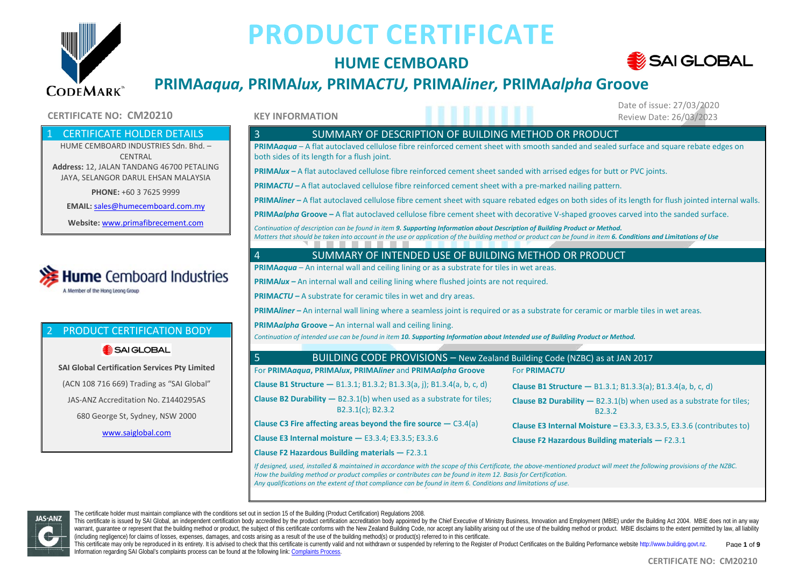

### **HUME CEMBOARD**



### **PRIMA***aqua,* **PRIMA***lux,* **PRIMA***CTU,* **PRIMA***liner,* **PRIMA***alpha* **Groove**

#### **CERTIFICATE NO: CM20210 Review Date: 26/03/2023 Review Date: 26/03/2023**

#### **CERTIFICATE HOLDER DETAILS**

HUME CEMBOARD INDUSTRIES Sdn. Bhd. – **CENTRAL Address:** 12, JALAN TANDANG 46700 PETALING JAYA, SELANGOR DARUL EHSAN MALAYSIA

**PHONE:** +60 3 7625 9999

**EMAIL:** [sales@humecemboard.com.my](mailto:sales@humecemboard.com.my)

**Website:** [www.primafibrecement.com](http://www.primafibrecement.com/)

### **Hume** Cemboard Industries A Member of the Hong Leong Group

#### 2 PRODUCT CERTIFICATION BODY

#### SAI GLOBAL

**SAI Global Certification Services Pty Limited** (ACN 108 716 669) Trading as "SAI Global" JAS-ANZ Accreditation No. Z1440295AS 680 George St, Sydney, NSW 2000 [www.saiglobal.com](http://www.saiglobal.com/)

#### **KEY INFORMATION**

Date of issue: 27/03/2020

#### 3 SUMMARY OF DESCRIPTION OF BUILDING METHOD OR PRODUCT

**PRIMA***aqua* – A flat autoclaved cellulose fibre reinforced cement sheet with smooth sanded and sealed surface and square rebate edges on both sides of its length for a flush joint.

**PRIMA***lux –* A flat autoclaved cellulose fibre reinforced cement sheet sanded with arrised edges for butt or PVC joints.

**PRIMA***CTU –* A flat autoclaved cellulose fibre reinforced cement sheet with a pre-marked nailing pattern.

**PRIMA***liner –* A flat autoclaved cellulose fibre cement sheet with square rebated edges on both sides of its length for flush jointed internal walls.

**PRIMA***alpha* **Groove –** A flat autoclaved cellulose fibre cement sheet with decorative V-shaped grooves carved into the sanded surface.

*Continuation of description can be found in item 9. Supporting Information about Description of Building Product or Method. Matters that should be taken into account in the use or application of the building method or product can be found in item 6. Conditions and Limitations of Use*

#### 4 SUMMARY OF INTENDED USE OF BUILDING METHOD OR PRODUCT

**PRIMA***aqua* – An internal wall and ceiling lining or as a substrate for tiles in wet areas.

**PRIMA***lux –* An internal wall and ceiling lining where flushed joints are not required.

**PRIMA***CTU –* A substrate for ceramic tiles in wet and dry areas.

**PRIMA***liner –* An internal wall lining where a seamless joint is required or as a substrate for ceramic or marble tiles in wet areas.

**PRIMA***alpha* **Groove –** An internal wall and ceiling lining.

*Continuation of intended use can be found in item 10. Supporting Information about Intended use of Building Product or Method.*

| BUILDING CODE PROVISIONS - New Zealand Building Code (NZBC) as at JAN 2017                                                                                              |                                                                                                      |  |  |  |  |
|-------------------------------------------------------------------------------------------------------------------------------------------------------------------------|------------------------------------------------------------------------------------------------------|--|--|--|--|
| For PRIMAagua, PRIMAlux, PRIMAliner and PRIMAalpha Groove                                                                                                               | For PRIMACTU                                                                                         |  |  |  |  |
| <b>Clause B1 Structure - B1.3.1; B1.3.2; B1.3.3(a, j); B1.3.4(a, b, c, d)</b>                                                                                           | <b>Clause B1 Structure - B1.3.1; B1.3.3(a); B1.3.4(a, b, c, d)</b>                                   |  |  |  |  |
| <b>Clause B2 Durability --</b> B2.3.1(b) when used as a substrate for tiles;<br>B2.3.1(c); B2.3.2                                                                       | <b>Clause B2 Durability</b> $-$ B2.3.1(b) when used as a substrate for tiles;<br>B <sub>2</sub> .3.2 |  |  |  |  |
| Clause C3 Fire affecting areas beyond the fire source $-$ C3.4(a)                                                                                                       | Clause E3 Internal Moisture - E3.3.3, E3.3.5, E3.3.6 (contributes to)                                |  |  |  |  |
| Clause E3 Internal moisture $-$ E3.3.4; E3.3.5; E3.3.6                                                                                                                  | Clause F2 Hazardous Building materials $-$ F2.3.1                                                    |  |  |  |  |
| Clause F2 Hazardous Building materials $-$ F2.3.1                                                                                                                       |                                                                                                      |  |  |  |  |
| If decisional wead installed 8 maintained in accordance with the scene of this Cortificate. the above mentioned product will meet the following provisions of the NIZDC |                                                                                                      |  |  |  |  |

*If designed, used, installed & maintained in accordance with the scope of this Certificate, the above-mentioned product will meet the following provisions of the NZBC. How the building method or product complies or contributes can be found in item 12. Basis for Certification. Any qualifications on the extent of that compliance can be found in item 6. Conditions and limitations of use.*



The certificate holder must maintain compliance with the conditions set out in section 15 of the Building (Product Certification) Regulations 2008.

This certificate is issued by SAI Global, an independent certification body accredited by the product certification accreditation body appointed by the Chief Executive of Ministry Business, Innovation and Employment (MBIE) warrant, quarantee or represent that the building method or product, the subject of this certificate conforms with the New Zealand Building Code, nor accept any liability arising out of the use of the building method or pr (including negligence) for claims of losses, expenses, damages, and costs arising as a result of the use of the building method(s) or product(s) referred to in this certificate.

This certificate may only be reproduced in its entirety. It is advised to check that this certificate is currently valid and not withdrawn or suspended by referring to the Register of Product Certificates on the Building P Information regarding SAI Global's complaints process can be found at the following link[: Complaints Process.](https://www.saiglobal.com/en-au/complaints_and_appeals_management/) Page **1** of **9**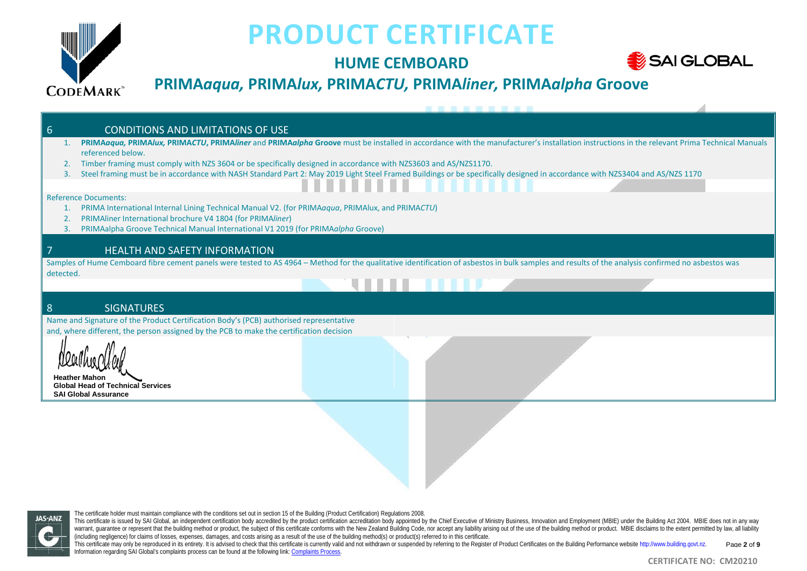

## **HUME CEMBOARD**



## **PRIMA***aqua,* **PRIMA***lux,* **PRIMA***CTU,* **PRIMA***liner,* **PRIMA***alpha* **Groove**

| 6                                                                                                                                                                                                 | <b>CONDITIONS AND LIMITATIONS OF USE</b>                                                                                                                                                   |  |  |  |  |
|---------------------------------------------------------------------------------------------------------------------------------------------------------------------------------------------------|--------------------------------------------------------------------------------------------------------------------------------------------------------------------------------------------|--|--|--|--|
|                                                                                                                                                                                                   | PRIMAdaqua, PRIMAlux, PRIMACTU, PRIMAliner and PRIMAdipha Groove must be installed in accordance with the manufacturer's installation instructions in the relevant Prima Technical Manuals |  |  |  |  |
|                                                                                                                                                                                                   | referenced below.<br>Timber framing must comply with NZS 3604 or be specifically designed in accordance with NZS3603 and AS/NZS1170.                                                       |  |  |  |  |
| 3.                                                                                                                                                                                                | Steel framing must be in accordance with NASH Standard Part 2: May 2019 Light Steel Framed Buildings or be specifically designed in accordance with NZS3404 and AS/NZS 1170                |  |  |  |  |
|                                                                                                                                                                                                   |                                                                                                                                                                                            |  |  |  |  |
|                                                                                                                                                                                                   | <b>Reference Documents:</b>                                                                                                                                                                |  |  |  |  |
|                                                                                                                                                                                                   | PRIMA International Internal Lining Technical Manual V2. (for PRIMAaqua, PRIMAlux, and PRIMACTU)                                                                                           |  |  |  |  |
|                                                                                                                                                                                                   | PRIMAliner International brochure V4 1804 (for PRIMAliner)<br>PRIMAalpha Groove Technical Manual International V1 2019 (for PRIMAalpha Groove)                                             |  |  |  |  |
|                                                                                                                                                                                                   |                                                                                                                                                                                            |  |  |  |  |
|                                                                                                                                                                                                   | <b>HEALTH AND SAFETY INFORMATION</b>                                                                                                                                                       |  |  |  |  |
| Samples of Hume Cemboard fibre cement panels were tested to AS 4964 - Method for the qualitative identification of asbestos in bulk samples and results of the analysis confirmed no asbestos was |                                                                                                                                                                                            |  |  |  |  |
| detected.                                                                                                                                                                                         |                                                                                                                                                                                            |  |  |  |  |
|                                                                                                                                                                                                   |                                                                                                                                                                                            |  |  |  |  |
| 8                                                                                                                                                                                                 | <b>SIGNATURES</b>                                                                                                                                                                          |  |  |  |  |
|                                                                                                                                                                                                   | Name and Signature of the Product Certification Body's (PCB) authorised representative                                                                                                     |  |  |  |  |
|                                                                                                                                                                                                   | and, where different, the person assigned by the PCB to make the certification decision                                                                                                    |  |  |  |  |
|                                                                                                                                                                                                   |                                                                                                                                                                                            |  |  |  |  |
|                                                                                                                                                                                                   |                                                                                                                                                                                            |  |  |  |  |
|                                                                                                                                                                                                   | Heather Mahon                                                                                                                                                                              |  |  |  |  |
|                                                                                                                                                                                                   | <b>Global Head of Technical Services</b>                                                                                                                                                   |  |  |  |  |
|                                                                                                                                                                                                   | <b>SAI Global Assurance</b>                                                                                                                                                                |  |  |  |  |
|                                                                                                                                                                                                   |                                                                                                                                                                                            |  |  |  |  |

**JAS-ANZ** 

The certificate holder must maintain compliance with the conditions set out in section 15 of the Building (Product Certification) Regulations 2008.

This certificate is issued by SAI Global, an independent certification body accredited by the product certification accreditation accreditation body appointed by the Chief Executive of Ministry Business, Innovation and Emp warrant, guarantee or represent that the building method or product, the subject of this certificate conforms with the New Zealand Building Code, nor accept any liability arising out of the use of the building method or pr Warrant, guarantee or represent that the building method or product, the sugget of this certificate contains matrice item. Eccluding method(s) or product(s) referred to in this certificate.

This certificate may only be reproduced in its entirely. It is advised to check that this certificate is currently valid and not withdrawn or suspended by referring to the Register of Product Certificates on the Building P Information regarding SAI Global's complaints process can be found at the following link[: Complaints Process.](https://www.saiglobal.com/en-au/complaints_and_appeals_management/) Page **2** of **9**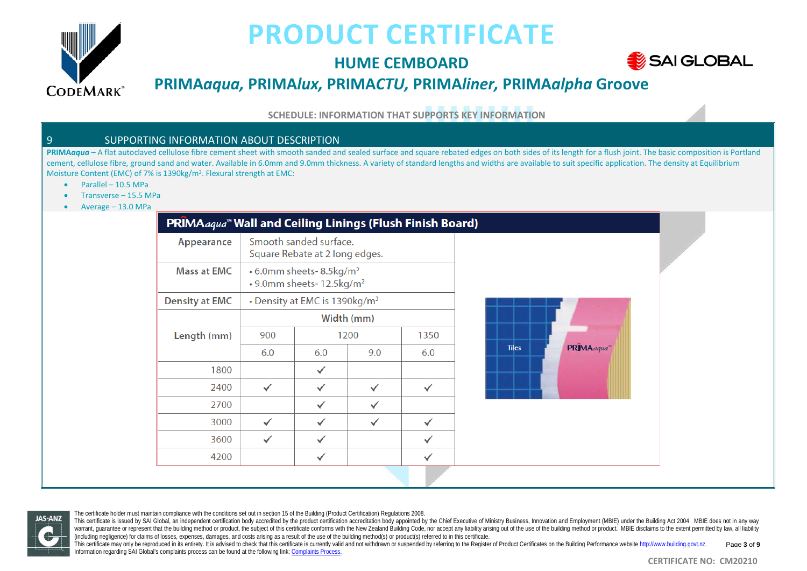

## **HUME CEMBOARD**



## **PRIMA***aqua,* **PRIMA***lux,* **PRIMA***CTU,* **PRIMA***liner,* **PRIMA***alpha* **Groove**

**SCHEDULE: INFORMATION THAT SUPPORTS KEY INFORMATION**

#### 9 SUPPORTING INFORMATION ABOUT DESCRIPTION

PRIMA*aqua* – A flat autoclaved cellulose fibre cement sheet with smooth sanded and sealed surface and square rebated edges on both sides of its length for a flush joint. The basic composition is Portland cement, cellulose fibre, ground sand and water. Available in 6.0mm and 9.0mm thickness. A variety of standard lengths and widths are available to suit specific application. The density at Equilibrium Moisture Content (EMC) of 7% is 1390kg/m3. Flexural strength at EMC:

- Parallel 10.5 MPa
- Transverse 15.5 MPa
- Average 13.0 MPa

| Appearance            |            | Smooth sanded surface.<br>Square Rebate at 2 long edges.                            |     |      |
|-----------------------|------------|-------------------------------------------------------------------------------------|-----|------|
| <b>Mass at EMC</b>    |            | • 6.0mm sheets- 8.5kg/m <sup>2</sup><br>$\cdot$ 9.0mm sheets- 12.5kg/m <sup>2</sup> |     |      |
| <b>Density at EMC</b> |            | • Density at EMC is 1390kg/m <sup>3</sup>                                           |     |      |
|                       | Width (mm) |                                                                                     |     |      |
| Length (mm)           | 900        | 1200                                                                                |     | 1350 |
|                       | 6.0        | 6.0                                                                                 | 9.0 | 6.0  |
| 1800                  |            |                                                                                     |     |      |
| 2400                  |            |                                                                                     |     |      |
| 2700                  |            |                                                                                     |     |      |
| 3000                  |            |                                                                                     |     |      |
| 3600                  |            |                                                                                     |     |      |
| 4200                  |            |                                                                                     |     |      |





The certificate holder must maintain compliance with the conditions set out in section 15 of the Building (Product Certification) Regulations 2008.

This certificate is issued by SAI Global, an independent certification body accredited by the product certification accreditation body appointed by the Chief Executive of Ministry Business, Innovation and Employment (MBIE) warrant, quarantee or represent that the building method or product, the subject of this certificate conforms with the New Zealand Building Code, nor accept any liability arising out of the use of the building method or pr (including negligence) for claims of losses, expenses, damages, and costs arising as a result of the use of the building method(s) or product(s) referred to in this certificate.

This certificate may only be reproduced in its entirety. It is advised to check that this certificate is currently valid and not withdrawn or suspended by referring to the Register of Product Certificates on the Building P Information regarding SAI Global's complaints process can be found at the following link[: Complaints Process.](https://www.saiglobal.com/en-au/complaints_and_appeals_management/) Page **3** of **9**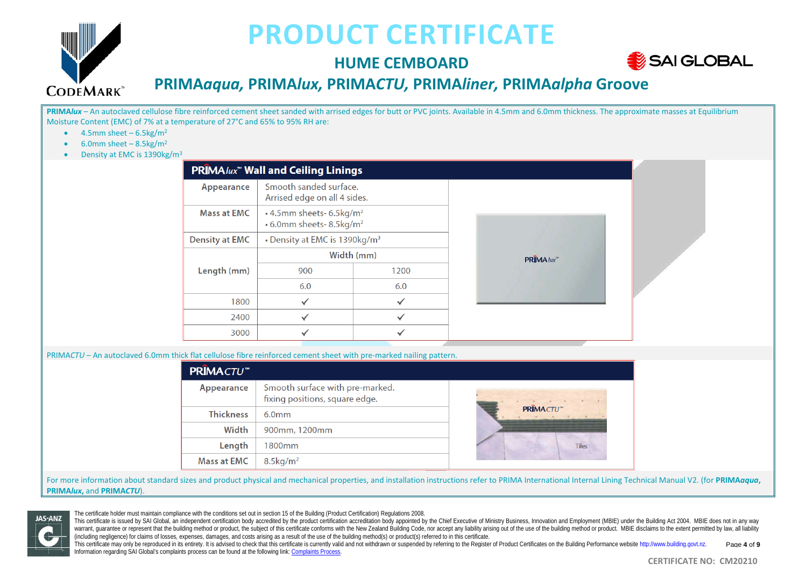

## **HUME CEMBOARD**



### **PRIMA***aqua,* **PRIMA***lux,* **PRIMA***CTU,* **PRIMA***liner,* **PRIMA***alpha* **Groove**

PRIMA*lux* – An autoclaved cellulose fibre reinforced cement sheet sanded with arrised edges for butt or PVC joints. Available in 4.5mm and 6.0mm thickness. The approximate masses at Equilibrium Moisture Content (EMC) of 7% at a temperature of 27°C and 65% to 95% RH are:

- $\bullet$  4.5mm sheet 6.5kg/m<sup>2</sup>
- 6.0mm sheet  $-8.5$ kg/m<sup>2</sup>
- Density at EMC is 1390kg/m3

|                       | <b>PRIMA</b> lux <sup>™</sup> Wall and Ceiling Linings                       |      |  |  |  |
|-----------------------|------------------------------------------------------------------------------|------|--|--|--|
| Appearance            | Smooth sanded surface.<br>Arrised edge on all 4 sides.                       |      |  |  |  |
| <b>Mass at EMC</b>    | • 4.5mm sheets- 6.5kg/m <sup>2</sup><br>• 6.0mm sheets- 8.5kg/m <sup>2</sup> |      |  |  |  |
| <b>Density at EMC</b> | • Density at EMC is 1390kg/m <sup>3</sup>                                    |      |  |  |  |
|                       | Width (mm)                                                                   |      |  |  |  |
| Length (mm)           | 900                                                                          | 1200 |  |  |  |
|                       | 6.0                                                                          | 6.0  |  |  |  |
| 1800                  |                                                                              |      |  |  |  |
| 2400                  |                                                                              |      |  |  |  |
| 3000                  |                                                                              |      |  |  |  |



PRIMA*CTU* – An autoclaved 6.0mm thick flat cellulose fibre reinforced cement sheet with pre-marked nailing pattern.

| <b>PRIMACTU™</b>   |                                                                   |                           |
|--------------------|-------------------------------------------------------------------|---------------------------|
| Appearance         | Smooth surface with pre-marked.<br>fixing positions, square edge. | PRÎMACTU™<br><b>Tiles</b> |
| <b>Thickness</b>   | 6.0 <sub>mm</sub>                                                 |                           |
| Width              | 900mm, 1200mm                                                     |                           |
| Length             | 1800mm                                                            |                           |
| <b>Mass at EMC</b> | $8.5$ kg/m <sup>2</sup>                                           |                           |

For more information about standard sizes and product physical and mechanical properties, and installation instructions refer to PRIMA International Internal Lining Technical Manual V2. (for **PRIMA***aqua***, PRIMA***lux***,** and **PRIMA***CTU*).



The certificate holder must maintain compliance with the conditions set out in section 15 of the Building (Product Certification) Regulations 2008.

This certificate is issued by SAI Global, an independent certification body accredited by the product certification accreditation body appointed by the Chief Executive of Ministry Business, Innovation and Employment (MBIE) warrant, quarantee or represent that the building method or product, the subject of this certificate conforms with the New Zealand Building Code, nor accept any liability arising out of the use of the building method or pr (including negligence) for claims of losses, expenses, damages, and costs arising as a result of the use of the building method(s) or product(s) referred to in this certificate.

This certificate may only be reproduced in its entirety. It is advised to check that this certificate is currently valid and not withdrawn or suspended by referring to the Register of Product Certificates on the Building P Information regarding SAI Global's complaints process can be found at the following link[: Complaints Process.](https://www.saiglobal.com/en-au/complaints_and_appeals_management/) Page **4** of **9**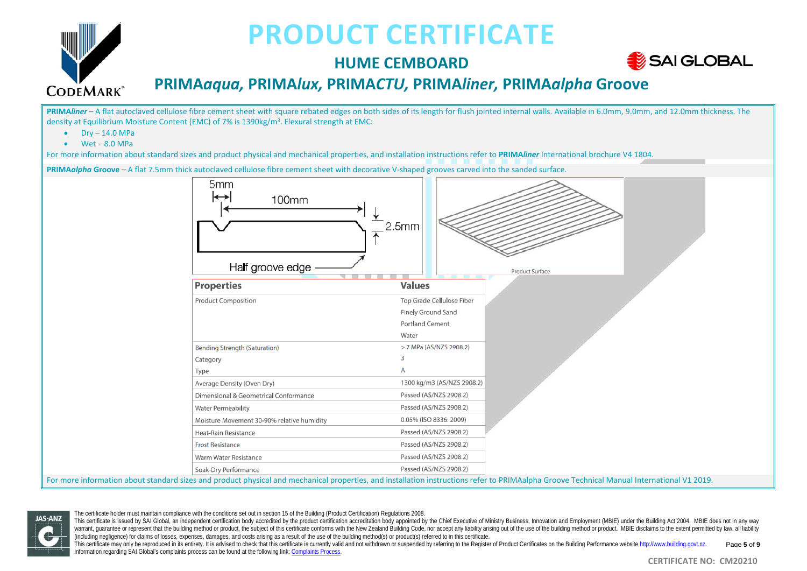

## **HUME CEMBOARD**



## **PRIMA***aqua,* **PRIMA***lux,* **PRIMA***CTU,* **PRIMA***liner,* **PRIMA***alpha* **Groove**

**PRIMA***liner* – A flat autoclaved cellulose fibre cement sheet with square rebated edges on both sides of its length for flush jointed internal walls. Available in 6.0mm, 9.0mm, and 12.0mm thickness. The density at Equilibrium Moisture Content (EMC) of 7% is 1390kg/m<sup>3</sup>. Flexural strength at EMC:  $Dry - 14.0 MPa$  $\bullet$  Wet – 8.0 MPa For more information about standard sizes and product physical and mechanical properties, and installation instructions refer to **PRIMA***liner* International brochure V4 1804. **PRIMA***alpha* **Groove** – A flat 7.5mm thick autoclaved cellulose fibre cement sheet with decorative V-shaped grooves carved into the sanded surface. 5mm 100mm  $2.5<sub>mm</sub>$ Half groove edge **Product Surface**  $\overline{\phantom{a}}$ **Values Properties** Top Grade Cellulose Fiber **Product Composition** Finely Ground Sand Portland Cement Water > 7 MPa (AS/NZS 2908.2) **Bending Strength (Saturation)**  $\overline{z}$ Category  $\overline{A}$ Type Average Density (Oven Dry) 1300 kg/m3 (AS/NZS 2908.2) Dimensional & Geometrical Conformance Passed (AS/NZS 2908.2) **Water Permeability** Passed (AS/NZS 2908.2) 0.05% (ISO 8336: 2009) Moisture Movement 30-90% relative humidity Passed (AS/NZS 2908.2) Heat-Rain Resistance **Frost Resistance** Passed (AS/NZS 2908.2) Warm Water Resistance Passed (AS/NZS 2908.2) Passed (AS/NZS 2908.2) Soak-Dry Performance For more information about standard sizes and product physical and mechanical properties, and installation instructions refer to PRIMAalpha Groove Technical Manual International V1 2019.



The certificate holder must maintain compliance with the conditions set out in section 15 of the Building (Product Certification) Regulations 2008.

This certificate is issued by SAI Global, an independent certification body accredited by the product certification accreditation body appointed by the Chief Executive of Ministry Business, Innovation and Employment (MBIE) warrant, quarantee or represent that the building method or product, the subject of this certificate conforms with the New Zealand Building Code, nor accept any liability arising out of the use of the building method or pr (including negligence) for claims of losses, expenses, damages, and costs arising as a result of the use of the building method(s) or product(s) referred to in this certificate.

This certificate may only be reproduced in its entirety. It is advised to check that this certificate is currently valid and not withdrawn or suspended by referring to the Register of Product Certificates on the Building P Information regarding SAI Global's complaints process can be found at the following link[: Complaints Process.](https://www.saiglobal.com/en-au/complaints_and_appeals_management/) Page **5** of **9**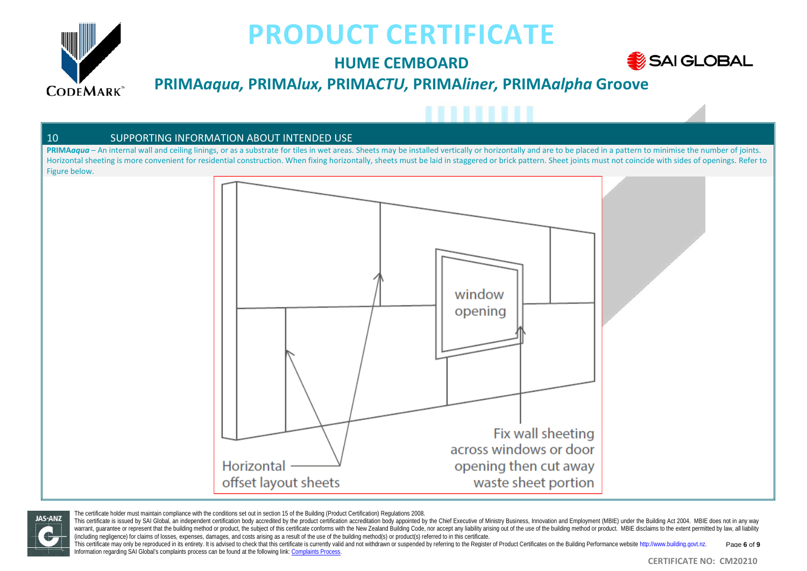

**JAS-ANZ** 

# **PRODUCT CERTIFICATE**

## **HUME CEMBOARD**



### **PRIMA***aqua,* **PRIMA***lux,* **PRIMA***CTU,* **PRIMA***liner,* **PRIMA***alpha* **Groove**

#### 10 SUPPORTING INFORMATION ABOUT INTENDED USE

PRIMA*aqua* – An internal wall and ceiling linings, or as a substrate for tiles in wet areas. Sheets may be installed vertically or horizontally and are to be placed in a pattern to minimise the number of joints. Horizontal sheeting is more convenient for residential construction. When fixing horizontally, sheets must be laid in staggered or brick pattern. Sheet joints must not coincide with sides of openings. Refer to Figure below.



The certificate holder must maintain compliance with the conditions set out in section 15 of the Building (Product Certification) Regulations 2008.

This certificate is issued by SAI Global, an independent certification body accredited by the product certification accreditation body appointed by the Chief Executive of Ministry Business, Innovation and Employment (MBIE) warrant, quarantee or represent that the building method or product, the subject of this certificate conforms with the New Zealand Building Code, nor accept any liability arising out of the use of the building method or pr (including negligence) for claims of losses, expenses, damages, and costs arising as a result of the use of the building method(s) or product(s) referred to in this certificate.

This certificate may only be reproduced in its entirety. It is advised to check that this certificate is currently valid and not withdrawn or suspended by referring to the Register of Product Certificates on the Building P Information regarding SAI Global's complaints process can be found at the following link[: Complaints Process.](https://www.saiglobal.com/en-au/complaints_and_appeals_management/) Page **6** of **9**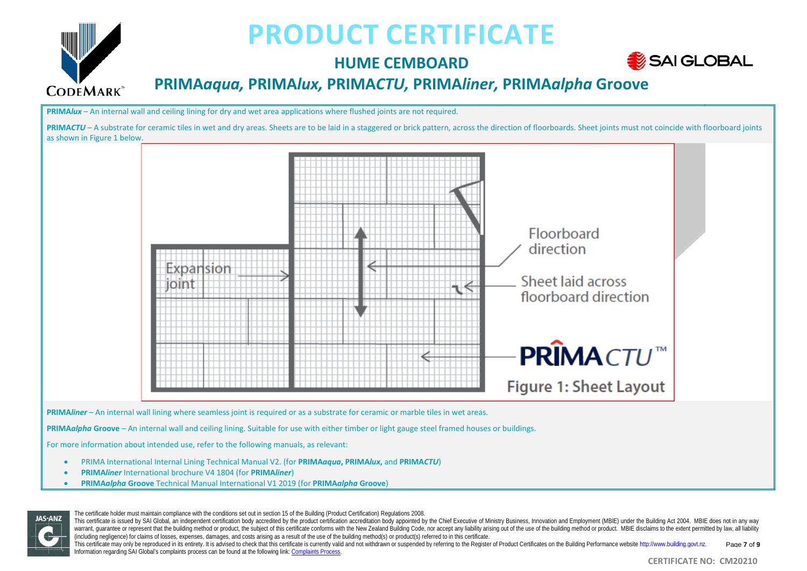

## **HUME CEMBOARD**



## **PRIMA***aqua,* **PRIMA***lux,* **PRIMA***CTU,* **PRIMA***liner,* **PRIMA***alpha* **Groove**

**PRIMA***lux* – An internal wall and ceiling lining for dry and wet area applications where flushed joints are not required.

**PRIMA***CTU* – A substrate for ceramic tiles in wet and dry areas. Sheets are to be laid in a staggered or brick pattern, across the direction of floorboards. Sheet joints must not coincide with floorboard joints as shown in Figure 1 below. Floorboard direction Expansion Sheet laid across loint floorboard direction

**PRIMA***liner* – An internal wall lining where seamless joint is required or as a substrate for ceramic or marble tiles in wet areas.

**PRIMA***alpha* **Groove** – An internal wall and ceiling lining. Suitable for use with either timber or light gauge steel framed houses or buildings.

For more information about intended use, refer to the following manuals, as relevant:

- PRIMA International Internal Lining Technical Manual V2. (for **PRIMA***aqua***, PRIMA***lux***,** and **PRIMA***CTU*)
- **PRIMA***liner* International brochure V4 1804 (for **PRIMA***liner*)
- **PRIMA***alpha* **Groove** Technical Manual International V1 2019 (for **PRIMA***alpha* **Groove**)



The certificate holder must maintain compliance with the conditions set out in section 15 of the Building (Product Certification) Regulations 2008.

This certificate is issued by SAI Global, an independent certification body accredited by the product certification accreditation body appointed by the Chief Executive of Ministry Business, Innovation and Employment (MBIE) warrant, quarantee or represent that the building method or product, the subject of this certificate conforms with the New Zealand Building Code, nor accept any liability arising out of the use of the building method or pr (including negligence) for claims of losses, expenses, damages, and costs arising as a result of the use of the building method(s) or product(s) referred to in this certificate.

This certificate may only be reproduced in its entirety. It is advised to check that this certificate is currently valid and not withdrawn or suspended by referring to the Register of Product Certificates on the Building P Information regarding SAI Global's complaints process can be found at the following link[: Complaints Process.](https://www.saiglobal.com/en-au/complaints_and_appeals_management/) Page **7** of **9**

**PRIMACTU™** 

**Figure 1: Sheet Layout**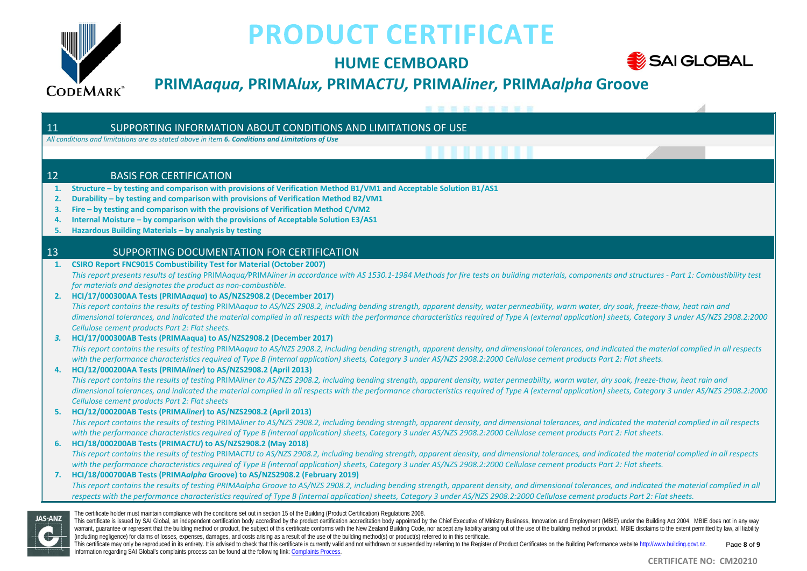

## **HUME CEMBOARD**



## **PRIMA***aqua,* **PRIMA***lux,* **PRIMA***CTU,* **PRIMA***liner,* **PRIMA***alpha* **Groove**

----------

#### 11 SUPPORTING INFORMATION ABOUT CONDITIONS AND LIMITATIONS OF USE

*All conditions and limitations are as stated above in item 6. Conditions and Limitations of Use*

#### 12 BASIS FOR CERTIFICATION

- **1. Structure – by testing and comparison with provisions of Verification Method B1/VM1 and Acceptable Solution B1/AS1**
- **2. Durability – by testing and comparison with provisions of Verification Method B2/VM1**
- **3. Fire – by testing and comparison with the provisions of Verification Method C/VM2**
- **4. Internal Moisture – by comparison with the provisions of Acceptable Solution E3/AS1**
- **5. Hazardous Building Materials – by analysis by testing**

#### 13 SUPPORTING DOCUMENTATION FOR CERTIFICATION

**1. CSIRO Report FNC9015 Combustibility Test for Material (October 2007)** This report presents results of testing PRIMAgaua/PRIMAliner in accordance with AS 1530.1-1984 Methods for fire tests on building materials, components and structures - Part 1: Combustibility test *for materials and designates the product as non-combustible.*

#### **2. HCI/17/000300AA Tests (PRIMA***aqua***) to AS/NZS2908.2 (December 2017)**

*This report contains the results of testing* PRIMA*aqua to AS/NZS 2908.2, including bending strength, apparent density, water permeability, warm water, dry soak, freeze-thaw, heat rain and dimensional tolerances, and indicated the material complied in all respects with the performance characteristics required of Type A (external application) sheets, Category 3 under AS/NZS 2908.2:2000 Cellulose cement products Part 2: Flat sheets.*

#### *3.* **HCI/17/000300AB Tests (PRIMAaqua) to AS/NZS2908.2 (December 2017)**

*This report contains the results of testing* PRIMA*aqua to AS/NZS 2908.2, including bending strength, apparent density, and dimensional tolerances, and indicated the material complied in all respects with the performance characteristics required of Type B (internal application) sheets, Category 3 under AS/NZS 2908.2:2000 Cellulose cement products Part 2: Flat sheets.*

#### **4. HCI/12/000200AA Tests (PRIMA***liner***) to AS/NZS2908.2 (April 2013)**

*This report contains the results of testing* PRIMA*liner to AS/NZS 2908.2, including bending strength, apparent density, water permeability, warm water, dry soak, freeze-thaw, heat rain and dimensional tolerances, and indicated the material complied in all respects with the performance characteristics required of Type A (external application) sheets, Category 3 under AS/NZS 2908.2:2000 Cellulose cement products Part 2: Flat sheets*

#### **5. HCI/12/000200AB Tests (PRIMA***liner***) to AS/NZS2908.2 (April 2013)**

*This report contains the results of testing* PRIMA*liner to AS/NZS 2908.2, including bending strength, apparent density, and dimensional tolerances, and indicated the material complied in all respects with the performance characteristics required of Type B (internal application) sheets, Category 3 under AS/NZS 2908.2:2000 Cellulose cement products Part 2: Flat sheets.*

#### **6. HCI/18/000200AB Tests (PRIMA***CTU***) to AS/NZS2908.2 (May 2018)** *This report contains the results of testing* PRIMA*CTU to AS/NZS 2908.2, including bending strength, apparent density, and dimensional tolerances, and indicated the material complied in all respects with the performance characteristics required of Type B (internal application) sheets, Category 3 under AS/NZS 2908.2:2000 Cellulose cement products Part 2: Flat sheets.*

#### **7. HCI/18/000700AB Tests (PRIMA***alpha* **Groove) to AS/NZS2908.2 (February 2019)** *This report contains the results of testing PRIMAalpha Groove to AS/NZS 2908.2, including bending strength, apparent density, and dimensional tolerances, and indicated the material complied in all respects with the performance characteristics required of Type B (internal application) sheets, Category 3 under AS/NZS 2908.2:2000 Cellulose cement products Part 2: Flat sheets.*



The certificate holder must maintain compliance with the conditions set out in section 15 of the Building (Product Certification) Regulations 2008.

This certificate may only be reproduced in its entirety. It is advised to check that this certificate is currently valid and not withdrawn or suspended by referring to the Register of Product Certificates on the Building P Information regarding SAI Global's complaints process can be found at the following link[: Complaints Process.](https://www.saiglobal.com/en-au/complaints_and_appeals_management/) Page **8** of **9**

This certificate is issued by SAI Global, an independent certification body accredited by the product certification accreditation body appointed by the Chief Executive of Ministry Business, Innovation and Employment (MBIE) warrant, quarantee or represent that the building method or product, the subject of this certificate conforms with the New Zealand Building Code, nor accept any liability arising out of the use of the building method or pr (including negligence) for claims of losses, expenses, damages, and costs arising as a result of the use of the building method(s) or product(s) referred to in this certificate.